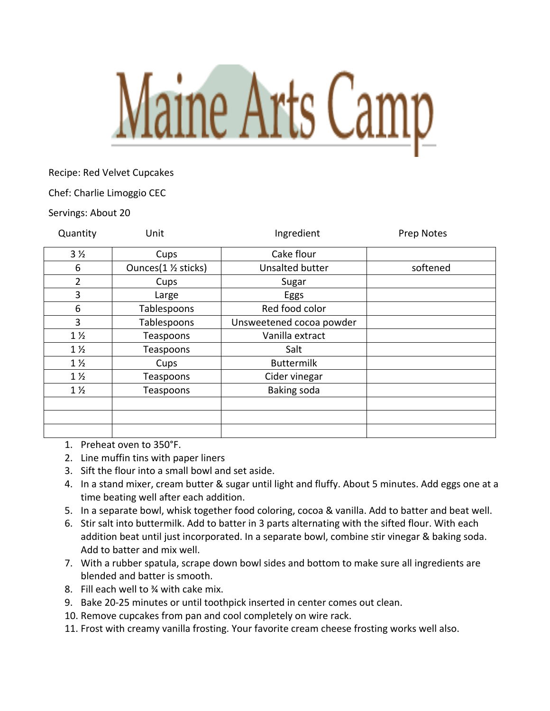

Recipe: Red Velvet Cupcakes

Chef: Charlie Limoggio CEC

Servings: About 20

| Quantity       | Unit                 | Ingredient               | Prep Notes |
|----------------|----------------------|--------------------------|------------|
| 3 <sub>2</sub> | Cups                 | Cake flour               |            |
| 6              | Ounces(1 1/2 sticks) | Unsalted butter          | softened   |
| $\overline{2}$ | Cups                 | Sugar                    |            |
| 3              | Large                | Eggs                     |            |
| 6              | Tablespoons          | Red food color           |            |
| 3              | Tablespoons          | Unsweetened cocoa powder |            |
| $1\frac{1}{2}$ | Teaspoons            | Vanilla extract          |            |
| $1\frac{1}{2}$ | Teaspoons            | Salt                     |            |
| $1\frac{1}{2}$ | Cups                 | <b>Buttermilk</b>        |            |
| $1\frac{1}{2}$ | Teaspoons            | Cider vinegar            |            |
| $1\frac{1}{2}$ | Teaspoons            | Baking soda              |            |
|                |                      |                          |            |
|                |                      |                          |            |
|                |                      |                          |            |

1. Preheat oven to 350°F.

- 2. Line muffin tins with paper liners
- 3. Sift the flour into a small bowl and set aside.
- 4. In a stand mixer, cream butter & sugar until light and fluffy. About 5 minutes. Add eggs one at a time beating well after each addition.
- 5. In a separate bowl, whisk together food coloring, cocoa & vanilla. Add to batter and beat well.
- 6. Stir salt into buttermilk. Add to batter in 3 parts alternating with the sifted flour. With each addition beat until just incorporated. In a separate bowl, combine stir vinegar & baking soda. Add to batter and mix well.
- 7. With a rubber spatula, scrape down bowl sides and bottom to make sure all ingredients are blended and batter is smooth.
- 8. Fill each well to ¾ with cake mix.
- 9. Bake 20-25 minutes or until toothpick inserted in center comes out clean.
- 10. Remove cupcakes from pan and cool completely on wire rack.
- 11. Frost with creamy vanilla frosting. Your favorite cream cheese frosting works well also.